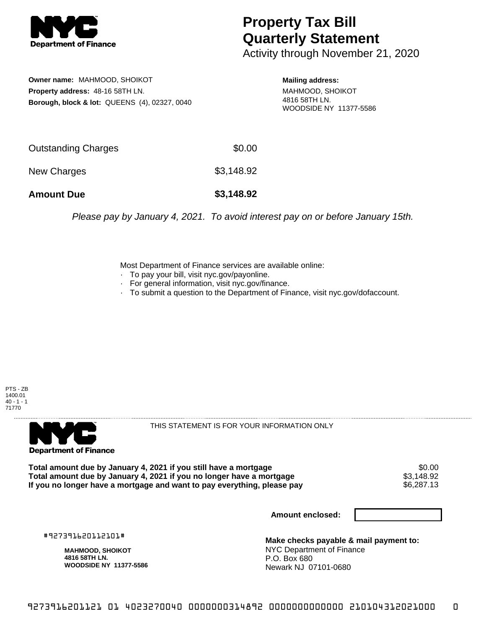

## **Property Tax Bill Quarterly Statement**

Activity through November 21, 2020

**Owner name:** MAHMOOD, SHOIKOT **Property address:** 48-16 58TH LN. **Borough, block & lot:** QUEENS (4), 02327, 0040

**Mailing address:** MAHMOOD, SHOIKOT 4816 58TH LN. WOODSIDE NY 11377-5586

| <b>Amount Due</b>   | \$3,148.92 |
|---------------------|------------|
| New Charges         | \$3,148.92 |
| Outstanding Charges | \$0.00     |

Please pay by January 4, 2021. To avoid interest pay on or before January 15th.

Most Department of Finance services are available online:

- · To pay your bill, visit nyc.gov/payonline.
- For general information, visit nyc.gov/finance.
- · To submit a question to the Department of Finance, visit nyc.gov/dofaccount.





THIS STATEMENT IS FOR YOUR INFORMATION ONLY

Total amount due by January 4, 2021 if you still have a mortgage **\$0.00** \$0.00<br>Total amount due by January 4, 2021 if you no longer have a mortgage **\$3.148.92 Total amount due by January 4, 2021 if you no longer have a mortgage**  $$3,148.92$$ **<br>If you no longer have a mortgage and want to pay everything, please pay**  $$6,287.13$$ If you no longer have a mortgage and want to pay everything, please pay

**Amount enclosed:**

#927391620112101#

**MAHMOOD, SHOIKOT 4816 58TH LN. WOODSIDE NY 11377-5586**

**Make checks payable & mail payment to:** NYC Department of Finance P.O. Box 680 Newark NJ 07101-0680